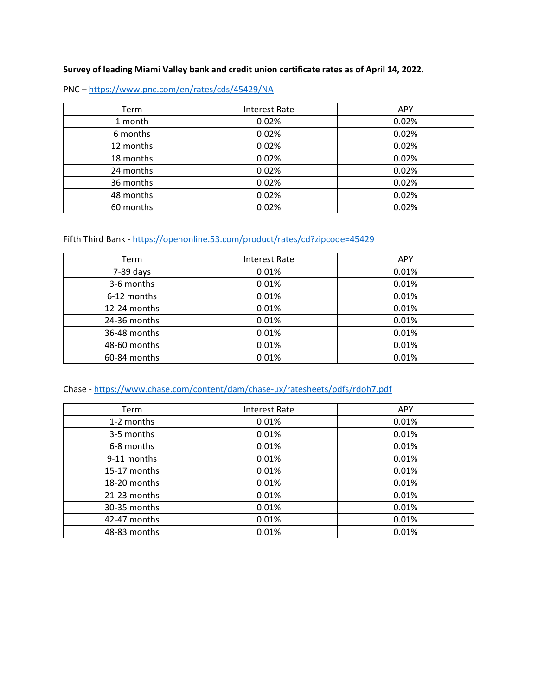#### **Survey of leading Miami Valley bank and credit union certificate rates as of April 14, 2022.**

PNC – https://www.pnc.com/en/rates/cds/45429/NA

| Term      | Interest Rate | <b>APY</b> |
|-----------|---------------|------------|
| 1 month   | 0.02%         | 0.02%      |
| 6 months  | 0.02%         | 0.02%      |
| 12 months | 0.02%         | 0.02%      |
| 18 months | 0.02%         | 0.02%      |
| 24 months | 0.02%         | 0.02%      |
| 36 months | 0.02%         | 0.02%      |
| 48 months | 0.02%         | 0.02%      |
| 60 months | 0.02%         | 0.02%      |

## Fifth Third Bank - https://openonline.53.com/product/rates/cd?zipcode=45429

| Term         | Interest Rate | <b>APY</b> |
|--------------|---------------|------------|
| 7-89 days    | 0.01%         | 0.01%      |
| 3-6 months   | 0.01%         | 0.01%      |
| 6-12 months  | 0.01%         | 0.01%      |
| 12-24 months | 0.01%         | 0.01%      |
| 24-36 months | 0.01%         | 0.01%      |
| 36-48 months | 0.01%         | 0.01%      |
| 48-60 months | 0.01%         | 0.01%      |
| 60-84 months | 0.01%         | 0.01%      |

## Chase - https://www.chase.com/content/dam/chase-ux/ratesheets/pdfs/rdoh7.pdf

| Term         | Interest Rate | <b>APY</b> |
|--------------|---------------|------------|
| 1-2 months   | 0.01%         | 0.01%      |
| 3-5 months   | 0.01%         | 0.01%      |
| 6-8 months   | 0.01%         | 0.01%      |
| 9-11 months  | 0.01%         | 0.01%      |
| 15-17 months | 0.01%         | 0.01%      |
| 18-20 months | 0.01%         | 0.01%      |
| 21-23 months | 0.01%         | 0.01%      |
| 30-35 months | 0.01%         | 0.01%      |
| 42-47 months | 0.01%         | 0.01%      |
| 48-83 months | 0.01%         | 0.01%      |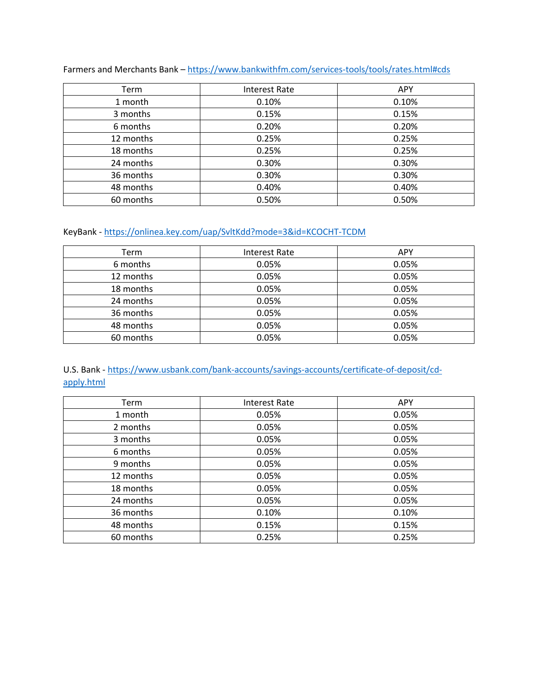| Term      | <b>Interest Rate</b> | <b>APY</b> |
|-----------|----------------------|------------|
| 1 month   | 0.10%                | 0.10%      |
| 3 months  | 0.15%                | 0.15%      |
| 6 months  | 0.20%                | 0.20%      |
| 12 months | 0.25%                | 0.25%      |
| 18 months | 0.25%                | 0.25%      |
| 24 months | 0.30%                | 0.30%      |
| 36 months | 0.30%                | 0.30%      |
| 48 months | 0.40%                | 0.40%      |
| 60 months | 0.50%                | 0.50%      |

Farmers and Merchants Bank – https://www.bankwithfm.com/services-tools/tools/rates.html#cds

#### KeyBank - https://onlinea.key.com/uap/SvltKdd?mode=3&id=KCOCHT-TCDM

| Term      | Interest Rate | <b>APY</b> |
|-----------|---------------|------------|
| 6 months  | 0.05%         | 0.05%      |
| 12 months | 0.05%         | 0.05%      |
| 18 months | 0.05%         | 0.05%      |
| 24 months | 0.05%         | 0.05%      |
| 36 months | 0.05%         | 0.05%      |
| 48 months | 0.05%         | 0.05%      |
| 60 months | 0.05%         | 0.05%      |

## U.S. Bank - https://www.usbank.com/bank-accounts/savings-accounts/certificate-of-deposit/cdapply.html

| Term      | <b>Interest Rate</b> | <b>APY</b> |
|-----------|----------------------|------------|
| 1 month   | 0.05%                | 0.05%      |
| 2 months  | 0.05%                | 0.05%      |
| 3 months  | 0.05%                | 0.05%      |
| 6 months  | 0.05%                | 0.05%      |
| 9 months  | 0.05%                | 0.05%      |
| 12 months | 0.05%                | 0.05%      |
| 18 months | 0.05%                | 0.05%      |
| 24 months | 0.05%                | 0.05%      |
| 36 months | 0.10%                | 0.10%      |
| 48 months | 0.15%                | 0.15%      |
| 60 months | 0.25%                | 0.25%      |